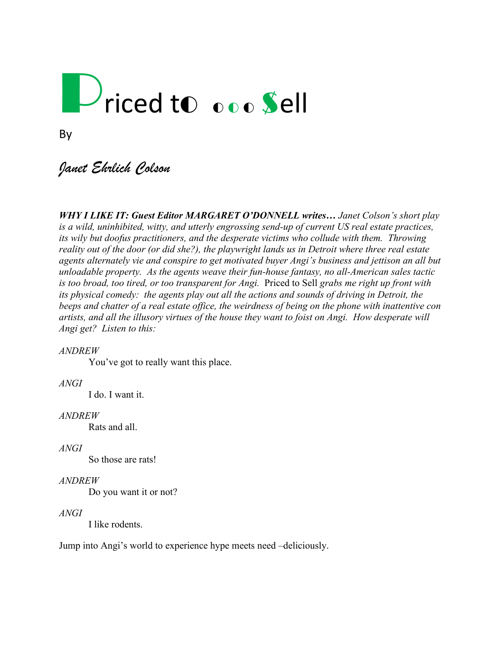# Priced to ooo Sell

### *Janet Ehrlich Colson*

*WHY I LIKE IT: Guest Editor MARGARET O'DONNELL writes… Janet Colson's short play is a wild, uninhibited, witty, and utterly engrossing send-up of current US real estate practices, its wily but doofus practitioners, and the desperate victims who collude with them. Throwing reality out of the door (or did she?), the playwright lands us in Detroit where three real estate agents alternately vie and conspire to get motivated buyer Angi's business and jettison an all but unloadable property. As the agents weave their fun-house fantasy, no all-American sales tactic is too broad, too tired, or too transparent for Angi.* Priced to Sell *grabs me right up front with its physical comedy: the agents play out all the actions and sounds of driving in Detroit, the beeps and chatter of a real estate office, the weirdness of being on the phone with inattentive con artists, and all the illusory virtues of the house they want to foist on Angi. How desperate will Angi get? Listen to this:*

#### *ANDREW*

You've got to really want this place.

#### *ANGI*

I do. I want it.

#### *ANDREW*

Rats and all.

#### *ANGI*

So those are rats!

#### *ANDREW*

Do you want it or not?

#### *ANGI*

I like rodents.

Jump into Angi's world to experience hype meets need –deliciously.

By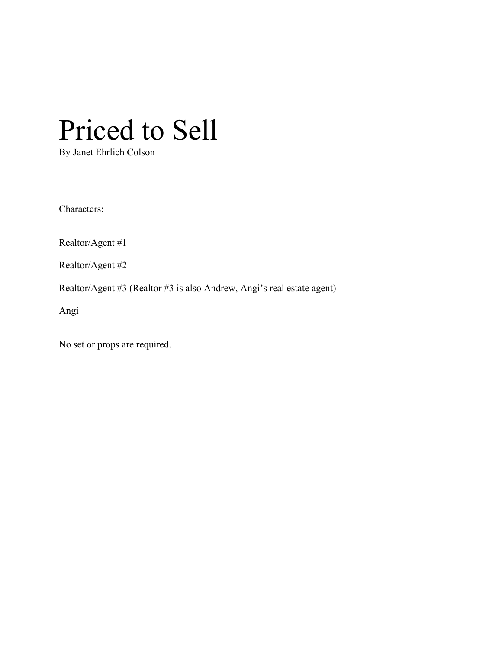## Priced to Sell

By Janet Ehrlich Colson

Characters:

Realtor/Agent #1

Realtor/Agent #2

Realtor/Agent #3 (Realtor #3 is also Andrew, Angi's real estate agent)

Angi

No set or props are required.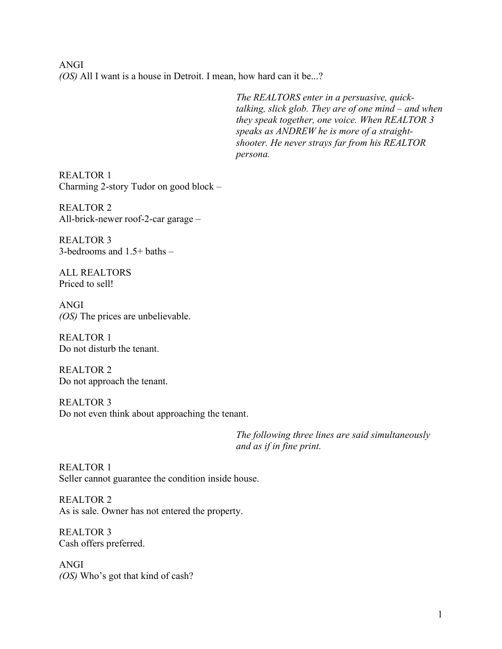ANGI *(OS)* All I want is a house in Detroit. I mean, how hard can it be...?

> *The REALTORS enter in a persuasive, quicktalking, slick glob. They are of one mind – and when they speak together, one voice. When REALTOR 3 speaks as ANDREW he is more of a straightshooter. He never strays far from his REALTOR persona.*

REALTOR 1 Charming 2-story Tudor on good block –

REALTOR 2 All-brick-newer roof-2-car garage –

REALTOR 3 3-bedrooms and 1.5+ baths –

ALL REALTORS Priced to sell!

ANGI *(OS)* The prices are unbelievable.

REALTOR 1 Do not disturb the tenant.

REALTOR 2 Do not approach the tenant.

REALTOR 3 Do not even think about approaching the tenant.

> *The following three lines are said simultaneously and as if in fine print.*

REALTOR 1 Seller cannot guarantee the condition inside house.

REALTOR 2 As is sale. Owner has not entered the property.

REALTOR 3 Cash offers preferred.

ANGI *(OS)* Who's got that kind of cash?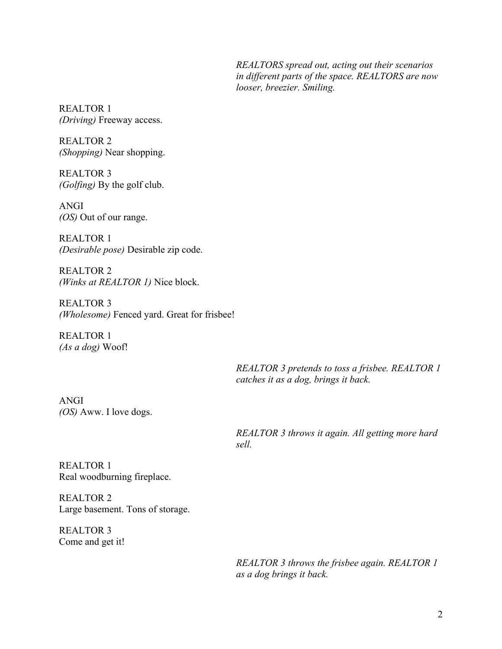*REALTORS spread out, acting out their scenarios in different parts of the space. REALTORS are now looser, breezier. Smiling.* 

REALTOR 1 *(Driving)* Freeway access.

REALTOR 2 *(Shopping)* Near shopping.

REALTOR 3 *(Golfing)* By the golf club.

ANGI *(OS)* Out of our range.

REALTOR 1 *(Desirable pose)* Desirable zip code.

REALTOR 2 *(Winks at REALTOR 1)* Nice block.

REALTOR 3 *(Wholesome)* Fenced yard. Great for frisbee!

REALTOR 1 *(As a dog)* Woof!

> *REALTOR 3 pretends to toss a frisbee. REALTOR 1 catches it as a dog, brings it back.*

ANGI *(OS)* Aww. I love dogs.

> *REALTOR 3 throws it again. All getting more hard sell.*

REALTOR 1 Real woodburning fireplace.

REALTOR 2 Large basement. Tons of storage.

REALTOR 3 Come and get it!

> *REALTOR 3 throws the frisbee again. REALTOR 1 as a dog brings it back.*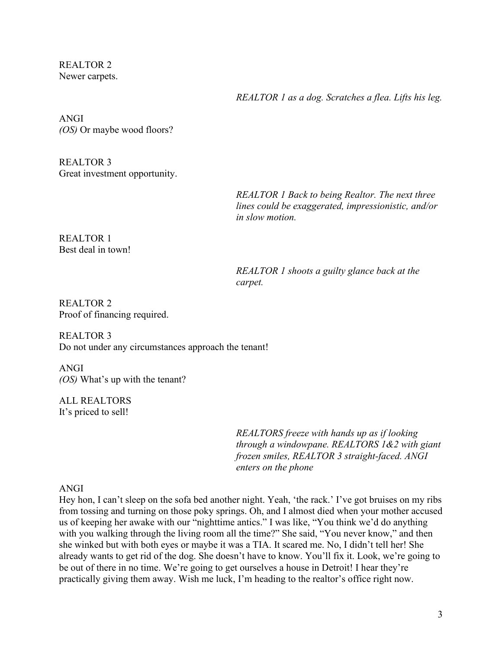REALTOR 2 Newer carpets.

*REALTOR 1 as a dog. Scratches a flea. Lifts his leg.* 

ANGI *(OS)* Or maybe wood floors?

REALTOR 3 Great investment opportunity.

> *REALTOR 1 Back to being Realtor. The next three lines could be exaggerated, impressionistic, and/or in slow motion.*

REALTOR 1 Best deal in town!

> *REALTOR 1 shoots a guilty glance back at the carpet.*

REALTOR 2 Proof of financing required.

REALTOR 3 Do not under any circumstances approach the tenant!

ANGI *(OS)* What's up with the tenant?

ALL REALTORS It's priced to sell!

> *REALTORS freeze with hands up as if looking through a windowpane. REALTORS 1&2 with giant frozen smiles, REALTOR 3 straight-faced. ANGI enters on the phone*

#### ANGI

Hey hon, I can't sleep on the sofa bed another night. Yeah, 'the rack.' I've got bruises on my ribs from tossing and turning on those poky springs. Oh, and I almost died when your mother accused us of keeping her awake with our "nighttime antics." I was like, "You think we'd do anything with you walking through the living room all the time?" She said, "You never know," and then she winked but with both eyes or maybe it was a TIA. It scared me. No, I didn't tell her! She already wants to get rid of the dog. She doesn't have to know. You'll fix it. Look, we're going to be out of there in no time. We're going to get ourselves a house in Detroit! I hear they're practically giving them away. Wish me luck, I'm heading to the realtor's office right now.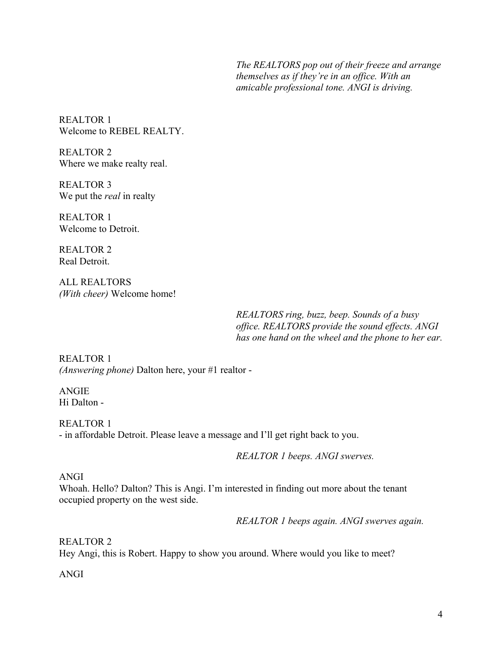*The REALTORS pop out of their freeze and arrange themselves as if they're in an office. With an amicable professional tone. ANGI is driving.*

REALTOR 1 Welcome to REBEL REALTY.

REALTOR 2 Where we make realty real.

REALTOR 3 We put the *real* in realty

REALTOR 1 Welcome to Detroit.

REALTOR 2 Real Detroit.

ALL REALTORS *(With cheer)* Welcome home!

> *REALTORS ring, buzz, beep. Sounds of a busy office. REALTORS provide the sound effects. ANGI has one hand on the wheel and the phone to her ear.*

REALTOR 1 *(Answering phone)* Dalton here, your #1 realtor -

ANGIE Hi Dalton -

REALTOR 1 - in affordable Detroit. Please leave a message and I'll get right back to you.

*REALTOR 1 beeps. ANGI swerves.*

#### ANGI

Whoah. Hello? Dalton? This is Angi. I'm interested in finding out more about the tenant occupied property on the west side.

*REALTOR 1 beeps again. ANGI swerves again.*

REALTOR 2 Hey Angi, this is Robert. Happy to show you around. Where would you like to meet?

ANGI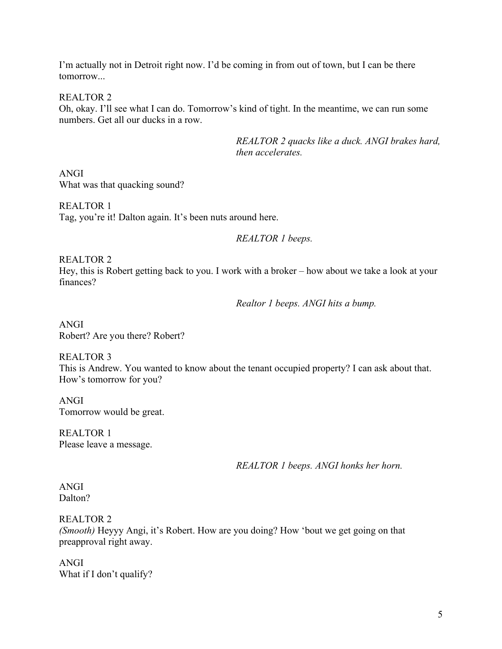I'm actually not in Detroit right now. I'd be coming in from out of town, but I can be there tomorrow...

REALTOR 2

Oh, okay. I'll see what I can do. Tomorrow's kind of tight. In the meantime, we can run some numbers. Get all our ducks in a row.

> *REALTOR 2 quacks like a duck. ANGI brakes hard, then accelerates.*

ANGI What was that quacking sound?

REALTOR 1 Tag, you're it! Dalton again. It's been nuts around here.

*REALTOR 1 beeps.*

REALTOR 2

Hey, this is Robert getting back to you. I work with a broker – how about we take a look at your finances?

*Realtor 1 beeps. ANGI hits a bump.* 

ANGI Robert? Are you there? Robert?

REALTOR 3 This is Andrew. You wanted to know about the tenant occupied property? I can ask about that. How's tomorrow for you?

ANGI Tomorrow would be great.

REALTOR 1 Please leave a message.

*REALTOR 1 beeps. ANGI honks her horn.* 

#### ANGI Dalton?

REALTOR 2

*(Smooth)* Heyyy Angi, it's Robert. How are you doing? How 'bout we get going on that preapproval right away.

ANGI What if I don't qualify?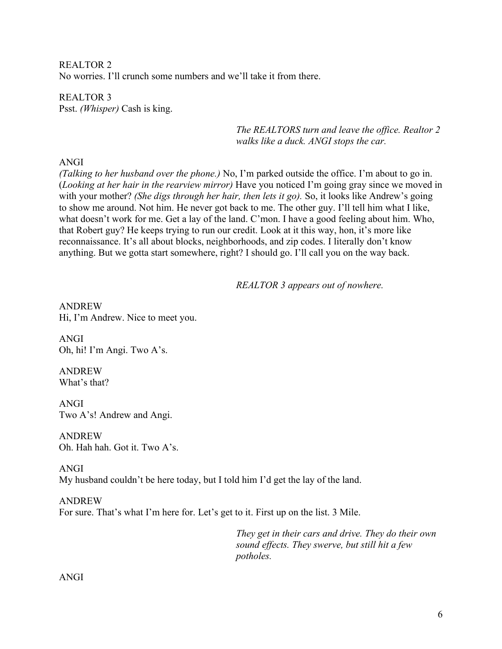REALTOR 2 No worries. I'll crunch some numbers and we'll take it from there.

REALTOR 3 Psst. *(Whisper)* Cash is king.

> *The REALTORS turn and leave the office. Realtor 2 walks like a duck. ANGI stops the car.*

#### ANGI

*(Talking to her husband over the phone.)* No, I'm parked outside the office. I'm about to go in. (*Looking at her hair in the rearview mirror)* Have you noticed I'm going gray since we moved in with your mother? *(She digs through her hair, then lets it go).* So, it looks like Andrew's going to show me around. Not him. He never got back to me. The other guy. I'll tell him what I like, what doesn't work for me. Get a lay of the land. C'mon. I have a good feeling about him. Who, that Robert guy? He keeps trying to run our credit. Look at it this way, hon, it's more like reconnaissance. It's all about blocks, neighborhoods, and zip codes. I literally don't know anything. But we gotta start somewhere, right? I should go. I'll call you on the way back.

*REALTOR 3 appears out of nowhere.*

ANDREW Hi, I'm Andrew. Nice to meet you.

ANGI Oh, hi! I'm Angi. Two A's.

ANDREW What's that?

ANGI Two A's! Andrew and Angi.

ANDREW Oh. Hah hah. Got it. Two A's.

ANGI My husband couldn't be here today, but I told him I'd get the lay of the land.

ANDREW For sure. That's what I'm here for. Let's get to it. First up on the list. 3 Mile.

> *They get in their cars and drive. They do their own sound effects. They swerve, but still hit a few potholes.*

ANGI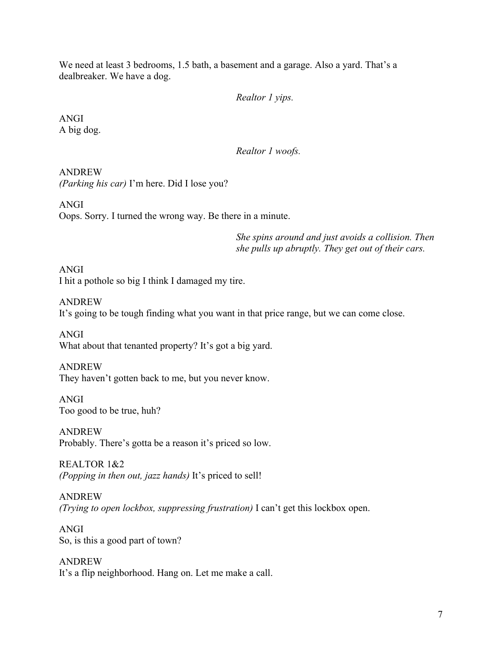We need at least 3 bedrooms, 1.5 bath, a basement and a garage. Also a yard. That's a dealbreaker. We have a dog.

#### *Realtor 1 yips.*

ANGI A big dog.

*Realtor 1 woofs.* 

ANDREW *(Parking his car)* I'm here. Did I lose you?

ANGI Oops. Sorry. I turned the wrong way. Be there in a minute.

> *She spins around and just avoids a collision. Then she pulls up abruptly. They get out of their cars.*

ANGI I hit a pothole so big I think I damaged my tire.

ANDREW

It's going to be tough finding what you want in that price range, but we can come close.

ANGI What about that tenanted property? It's got a big yard.

ANDREW They haven't gotten back to me, but you never know.

ANGI Too good to be true, huh?

ANDREW Probably. There's gotta be a reason it's priced so low.

REALTOR 1&2 *(Popping in then out, jazz hands)* It's priced to sell!

ANDREW *(Trying to open lockbox, suppressing frustration)* I can't get this lockbox open.

ANGI So, is this a good part of town?

ANDREW It's a flip neighborhood. Hang on. Let me make a call.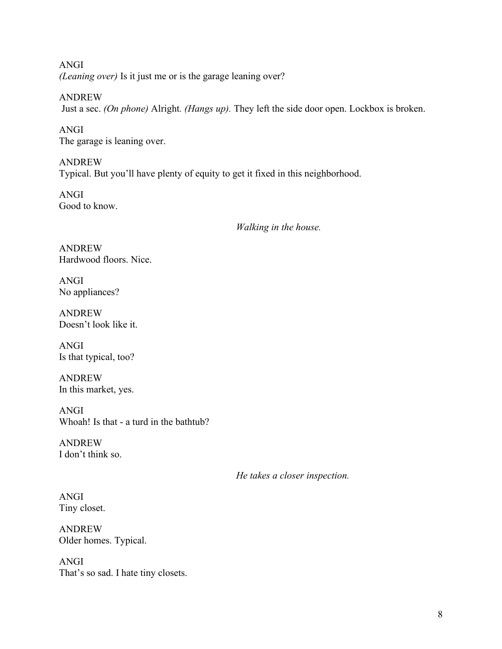ANGI *(Leaning over)* Is it just me or is the garage leaning over?

ANDREW Just a sec. *(On phone)* Alright*. (Hangs up).* They left the side door open. Lockbox is broken.

ANGI The garage is leaning over.

ANDREW Typical. But you'll have plenty of equity to get it fixed in this neighborhood.

ANGI Good to know.

*Walking in the house.* 

ANDREW Hardwood floors. Nice.

ANGI No appliances?

ANDREW Doesn't look like it.

ANGI Is that typical, too?

ANDREW In this market, yes.

ANGI Whoah! Is that - a turd in the bathtub?

ANDREW I don't think so.

*He takes a closer inspection.*

ANGI Tiny closet.

ANDREW Older homes. Typical.

ANGI That's so sad. I hate tiny closets.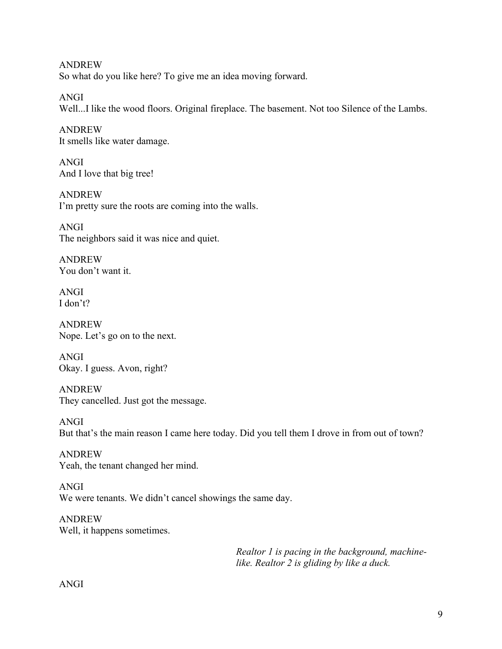ANDREW So what do you like here? To give me an idea moving forward.

ANGI Well...I like the wood floors. Original fireplace. The basement. Not too Silence of the Lambs.

ANDREW It smells like water damage.

ANGI And I love that big tree!

ANDREW I'm pretty sure the roots are coming into the walls.

ANGI The neighbors said it was nice and quiet.

ANDREW You don't want it.

ANGI I don't?

ANDREW Nope. Let's go on to the next.

ANGI Okay. I guess. Avon, right?

ANDREW They cancelled. Just got the message.

ANGI But that's the main reason I came here today. Did you tell them I drove in from out of town?

ANDREW Yeah, the tenant changed her mind.

ANGI We were tenants. We didn't cancel showings the same day.

ANDREW Well, it happens sometimes.

> *Realtor 1 is pacing in the background, machinelike. Realtor 2 is gliding by like a duck.*

ANGI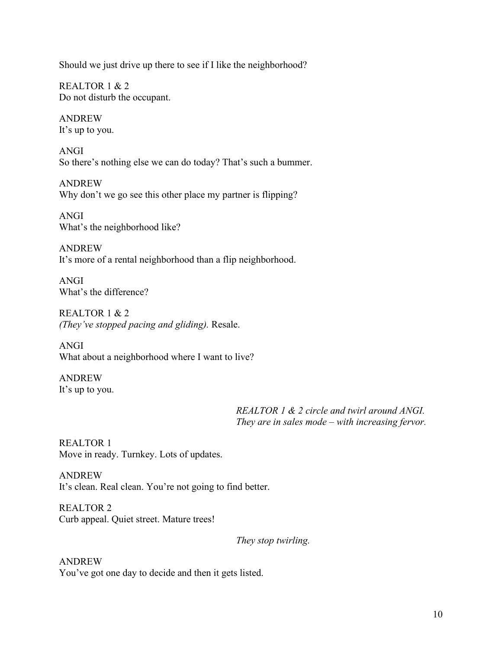Should we just drive up there to see if I like the neighborhood?

REALTOR 1 & 2 Do not disturb the occupant.

ANDREW It's up to you.

ANGI So there's nothing else we can do today? That's such a bummer.

ANDREW Why don't we go see this other place my partner is flipping?

ANGI What's the neighborhood like?

ANDREW It's more of a rental neighborhood than a flip neighborhood.

ANGI What's the difference?

REALTOR 1 & 2 *(They've stopped pacing and gliding).* Resale.

ANGI What about a neighborhood where I want to live?

ANDREW It's up to you.

> *REALTOR 1 & 2 circle and twirl around ANGI. They are in sales mode – with increasing fervor.*

REALTOR 1 Move in ready. Turnkey. Lots of updates.

ANDREW It's clean. Real clean. You're not going to find better.

REALTOR 2 Curb appeal. Quiet street. Mature trees!

*They stop twirling.* 

ANDREW You've got one day to decide and then it gets listed.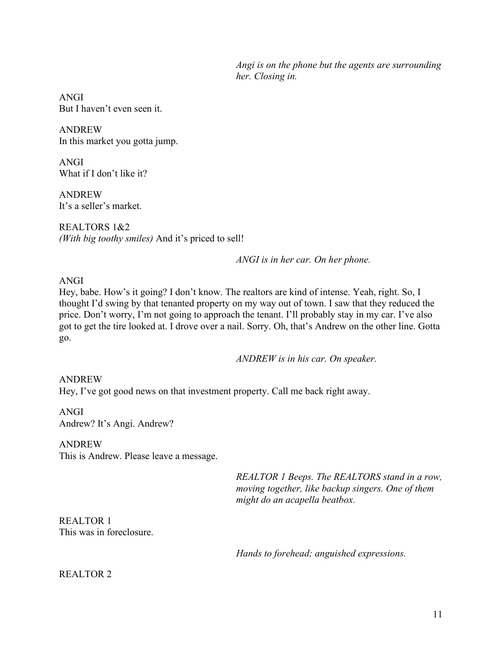*Angi is on the phone but the agents are surrounding her. Closing in.* 

ANGI But I haven't even seen it.

ANDREW In this market you gotta jump.

ANGI What if I don't like it?

ANDREW It's a seller's market.

REALTORS 1&2 *(With big toothy smiles)* And it's priced to sell!

*ANGI is in her car. On her phone.* 

#### ANGI

Hey, babe. How's it going? I don't know. The realtors are kind of intense. Yeah, right. So, I thought I'd swing by that tenanted property on my way out of town. I saw that they reduced the price. Don't worry, I'm not going to approach the tenant. I'll probably stay in my car. I've also got to get the tire looked at. I drove over a nail. Sorry. Oh, that's Andrew on the other line. Gotta go.

*ANDREW is in his car. On speaker.* 

ANDREW Hey, I've got good news on that investment property. Call me back right away.

ANGI Andrew? It's Angi. Andrew?

ANDREW

This is Andrew. Please leave a message.

*REALTOR 1 Beeps. The REALTORS stand in a row, moving together, like backup singers. One of them might do an acapella beatbox.* 

REALTOR 1 This was in foreclosure.

*Hands to forehead; anguished expressions.* 

#### REALTOR 2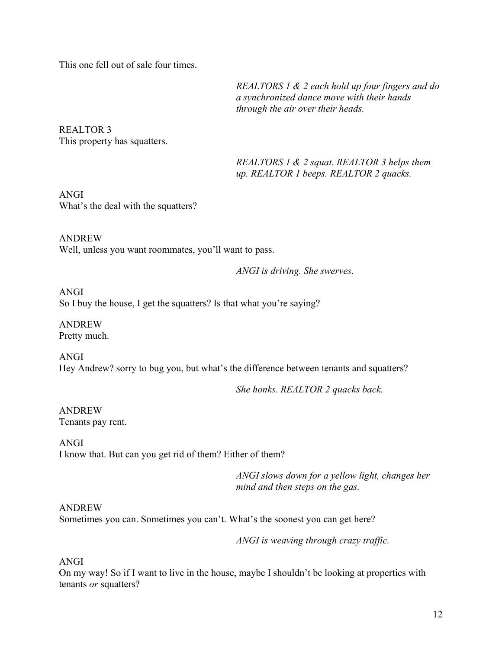This one fell out of sale four times.

*REALTORS 1 & 2 each hold up four fingers and do a synchronized dance move with their hands through the air over their heads.* 

REALTOR 3 This property has squatters.

> *REALTORS 1 & 2 squat. REALTOR 3 helps them up. REALTOR 1 beeps. REALTOR 2 quacks.*

ANGI What's the deal with the squatters?

ANDREW Well, unless you want roommates, you'll want to pass.

*ANGI is driving. She swerves.*

ANGI So I buy the house, I get the squatters? Is that what you're saying?

ANDREW Pretty much.

ANGI Hey Andrew? sorry to bug you, but what's the difference between tenants and squatters?

*She honks. REALTOR 2 quacks back.* 

ANDREW Tenants pay rent.

ANGI I know that. But can you get rid of them? Either of them?

> *ANGI slows down for a yellow light, changes her mind and then steps on the gas.*

ANDREW

Sometimes you can. Sometimes you can't. What's the soonest you can get here?

*ANGI is weaving through crazy traffic.* 

ANGI

On my way! So if I want to live in the house, maybe I shouldn't be looking at properties with tenants *or* squatters?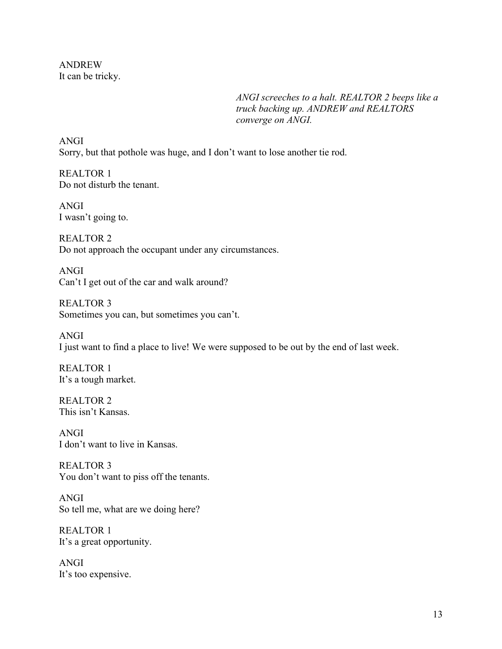ANDREW It can be tricky.

> *ANGI screeches to a halt. REALTOR 2 beeps like a truck backing up. ANDREW and REALTORS converge on ANGI.*

ANGI Sorry, but that pothole was huge, and I don't want to lose another tie rod.

REALTOR 1 Do not disturb the tenant.

ANGI I wasn't going to.

REALTOR 2 Do not approach the occupant under any circumstances.

ANGI Can't I get out of the car and walk around?

REALTOR 3 Sometimes you can, but sometimes you can't.

ANGI I just want to find a place to live! We were supposed to be out by the end of last week.

REALTOR 1 It's a tough market.

REALTOR 2 This isn't Kansas.

ANGI I don't want to live in Kansas.

REALTOR 3 You don't want to piss off the tenants.

ANGI So tell me, what are we doing here?

REALTOR 1 It's a great opportunity.

ANGI It's too expensive.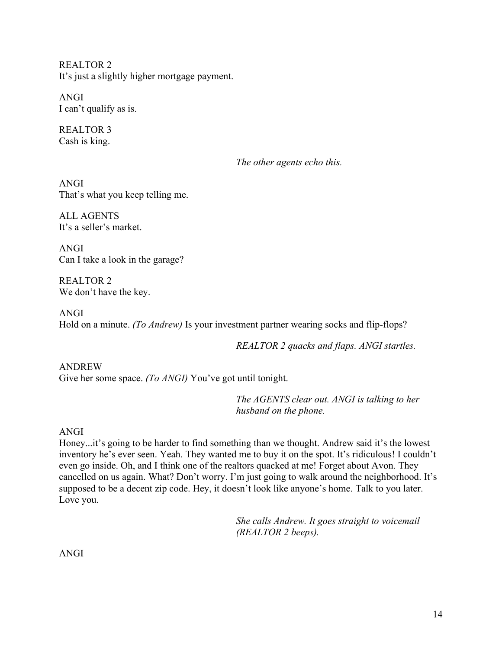REALTOR 2 It's just a slightly higher mortgage payment.

ANGI I can't qualify as is.

REALTOR 3 Cash is king.

*The other agents echo this.* 

ANGI That's what you keep telling me.

ALL AGENTS It's a seller's market.

ANGI Can I take a look in the garage?

REALTOR 2 We don't have the key.

ANGI Hold on a minute. *(To Andrew)* Is your investment partner wearing socks and flip-flops?

*REALTOR 2 quacks and flaps. ANGI startles.* 

ANDREW Give her some space. *(To ANGI)* You've got until tonight.

> *The AGENTS clear out. ANGI is talking to her husband on the phone.*

ANGI

Honey...it's going to be harder to find something than we thought. Andrew said it's the lowest inventory he's ever seen. Yeah. They wanted me to buy it on the spot. It's ridiculous! I couldn't even go inside. Oh, and I think one of the realtors quacked at me! Forget about Avon. They cancelled on us again. What? Don't worry. I'm just going to walk around the neighborhood. It's supposed to be a decent zip code. Hey, it doesn't look like anyone's home. Talk to you later. Love you.

> *She calls Andrew. It goes straight to voicemail (REALTOR 2 beeps).*

ANGI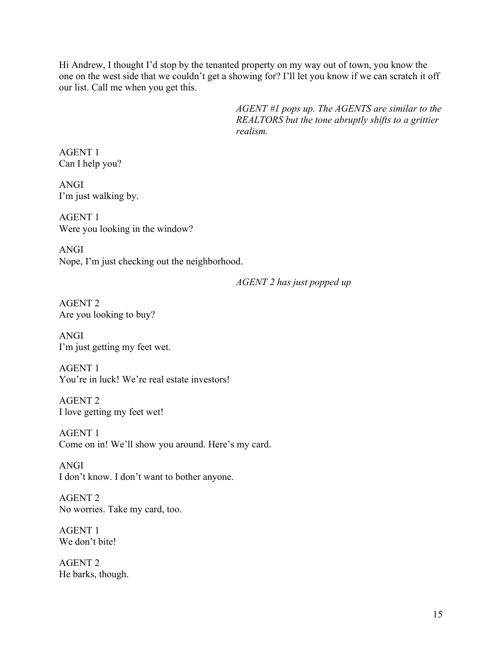Hi Andrew, I thought I'd stop by the tenanted property on my way out of town, you know the one on the west side that we couldn't get a showing for? I'll let you know if we can scratch it off our list. Call me when you get this.

> *AGENT #1 pops up. The AGENTS are similar to the REALTORS but the tone abruptly shifts to a grittier realism.*

AGENT 1 Can I help you?

ANGI I'm just walking by.

AGENT 1 Were you looking in the window?

ANGI Nope, I'm just checking out the neighborhood.

*AGENT 2 has just popped up*

AGENT 2 Are you looking to buy?

ANGI I'm just getting my feet wet.

AGENT 1 You're in luck! We're real estate investors!

AGENT 2 I love getting my feet wet!

AGENT 1 Come on in! We'll show you around. Here's my card.

ANGI I don't know. I don't want to bother anyone.

AGENT 2 No worries. Take my card, too.

AGENT 1 We don't bite!

AGENT 2 He barks, though.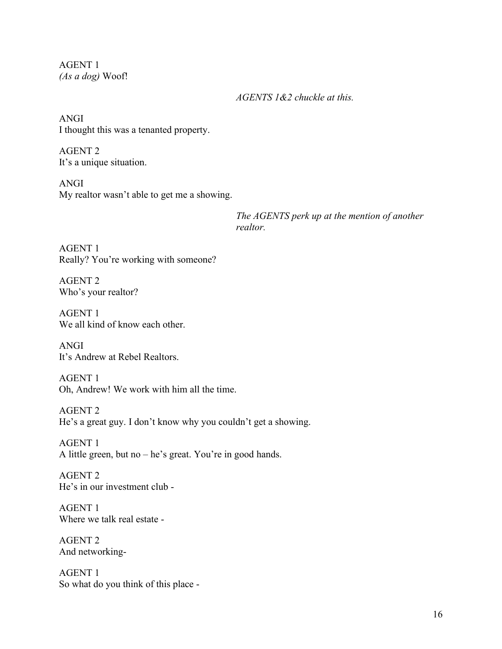AGENT 1 *(As a dog)* Woof!

*AGENTS 1&2 chuckle at this.* 

ANGI I thought this was a tenanted property.

AGENT 2 It's a unique situation.

ANGI My realtor wasn't able to get me a showing.

> *The AGENTS perk up at the mention of another realtor.*

AGENT 1 Really? You're working with someone?

AGENT 2 Who's your realtor?

AGENT 1 We all kind of know each other.

ANGI It's Andrew at Rebel Realtors.

AGENT 1 Oh, Andrew! We work with him all the time.

AGENT 2 He's a great guy. I don't know why you couldn't get a showing.

AGENT 1 A little green, but no – he's great. You're in good hands.

AGENT 2 He's in our investment club -

AGENT 1 Where we talk real estate -

AGENT 2 And networking-

AGENT 1 So what do you think of this place -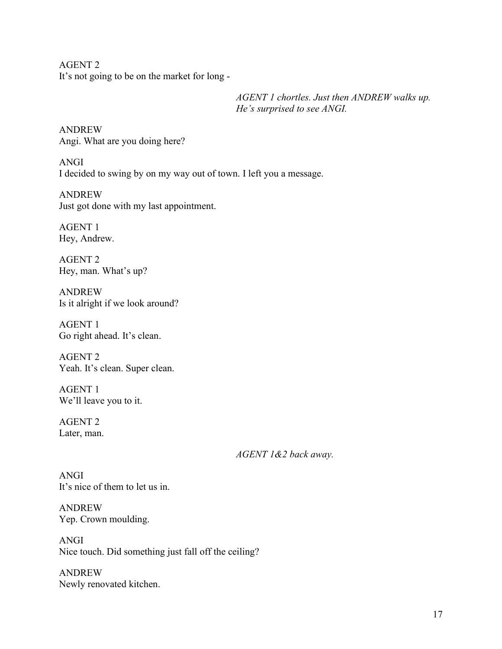AGENT 2 It's not going to be on the market for long -

> *AGENT 1 chortles. Just then ANDREW walks up. He's surprised to see ANGI.*

ANDREW Angi. What are you doing here?

ANGI I decided to swing by on my way out of town. I left you a message.

ANDREW Just got done with my last appointment.

AGENT 1 Hey, Andrew.

AGENT 2 Hey, man. What's up?

ANDREW Is it alright if we look around?

AGENT 1 Go right ahead. It's clean.

AGENT 2 Yeah. It's clean. Super clean.

AGENT 1 We'll leave you to it.

AGENT 2 Later, man.

*AGENT 1&2 back away.* 

ANGI It's nice of them to let us in.

ANDREW Yep. Crown moulding.

ANGI Nice touch. Did something just fall off the ceiling?

ANDREW Newly renovated kitchen.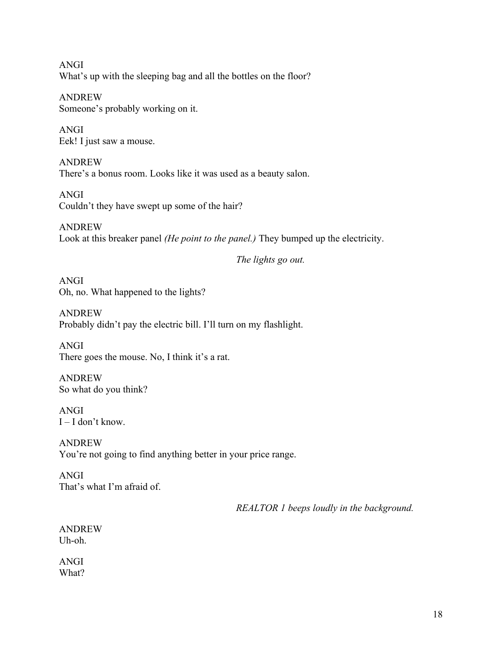ANGI What's up with the sleeping bag and all the bottles on the floor?

ANDREW Someone's probably working on it.

ANGI Eek! I just saw a mouse.

ANDREW There's a bonus room. Looks like it was used as a beauty salon.

ANGI Couldn't they have swept up some of the hair?

ANDREW Look at this breaker panel *(He point to the panel.)* They bumped up the electricity.

*The lights go out.* 

ANGI Oh, no. What happened to the lights?

ANDREW Probably didn't pay the electric bill. I'll turn on my flashlight.

ANGI There goes the mouse. No, I think it's a rat.

ANDREW So what do you think?

ANGI  $I - I$  don't know.

ANDREW You're not going to find anything better in your price range.

ANGI That's what I'm afraid of.

*REALTOR 1 beeps loudly in the background.* 

ANDREW Uh-oh.

ANGI What?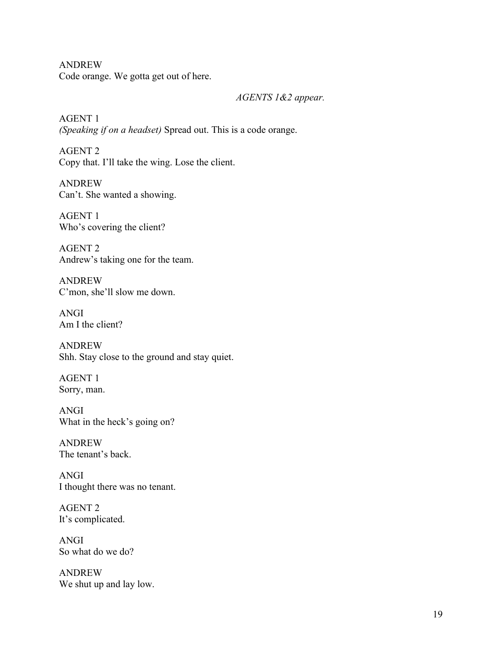ANDREW Code orange. We gotta get out of here.

*AGENTS 1&2 appear.*

AGENT 1 *(Speaking if on a headset)* Spread out. This is a code orange.

AGENT 2 Copy that. I'll take the wing. Lose the client.

ANDREW Can't. She wanted a showing.

AGENT 1 Who's covering the client?

AGENT 2 Andrew's taking one for the team.

ANDREW C'mon, she'll slow me down.

ANGI Am I the client?

ANDREW Shh. Stay close to the ground and stay quiet.

AGENT 1 Sorry, man.

ANGI What in the heck's going on?

ANDREW The tenant's back.

ANGI I thought there was no tenant.

AGENT 2 It's complicated.

ANGI So what do we do?

ANDREW We shut up and lay low.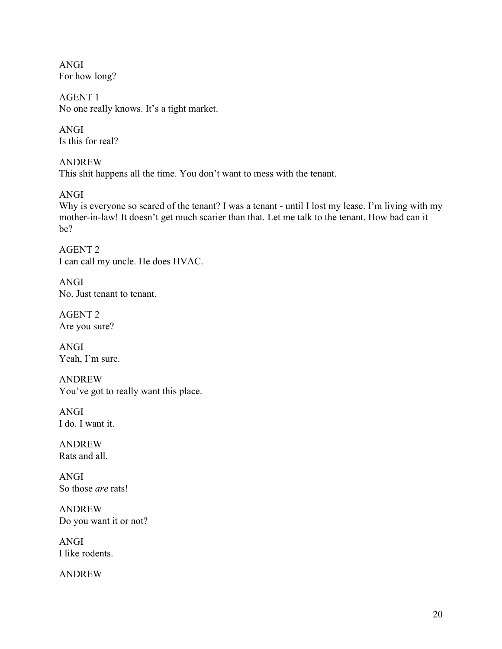ANGI For how long?

AGENT 1 No one really knows. It's a tight market.

ANGI Is this for real?

ANDREW This shit happens all the time. You don't want to mess with the tenant.

ANGI

Why is everyone so scared of the tenant? I was a tenant - until I lost my lease. I'm living with my mother-in-law! It doesn't get much scarier than that. Let me talk to the tenant. How bad can it be?

AGENT 2 I can call my uncle. He does HVAC.

ANGI No. Just tenant to tenant.

AGENT 2 Are you sure?

ANGI Yeah, I'm sure.

ANDREW You've got to really want this place.

ANGI I do. I want it.

ANDREW Rats and all.

ANGI So those *are* rats!

ANDREW Do you want it or not?

ANGI I like rodents.

ANDREW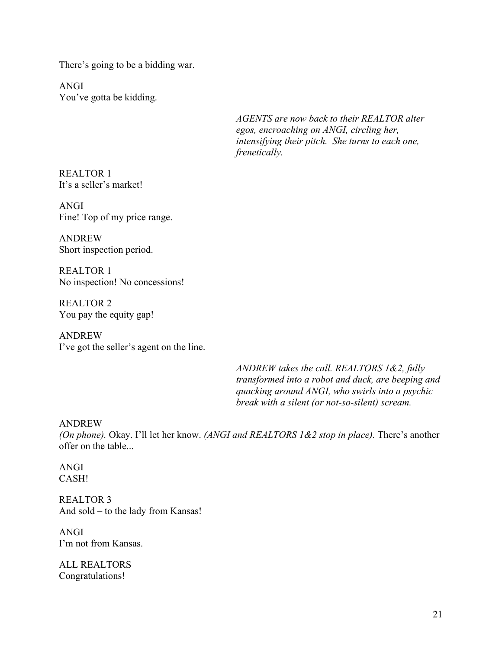There's going to be a bidding war.

ANGI You've gotta be kidding.

> *AGENTS are now back to their REALTOR alter egos, encroaching on ANGI, circling her, intensifying their pitch. She turns to each one, frenetically.*

REALTOR 1 It's a seller's market!

ANGI Fine! Top of my price range.

ANDREW Short inspection period.

REALTOR 1 No inspection! No concessions!

REALTOR 2 You pay the equity gap!

ANDREW I've got the seller's agent on the line.

> *ANDREW takes the call. REALTORS 1&2, fully transformed into a robot and duck, are beeping and quacking around ANGI, who swirls into a psychic break with a silent (or not-so-silent) scream.*

#### ANDREW

*(On phone).* Okay. I'll let her know. *(ANGI and REALTORS 1&2 stop in place).* There's another offer on the table...

#### ANGI CASH!

REALTOR 3 And sold – to the lady from Kansas!

ANGI I'm not from Kansas.

ALL REALTORS Congratulations!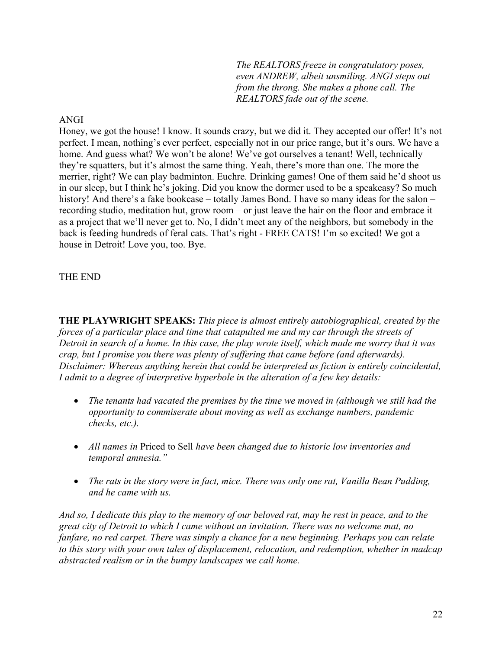*The REALTORS freeze in congratulatory poses, even ANDREW, albeit unsmiling. ANGI steps out from the throng. She makes a phone call. The REALTORS fade out of the scene.* 

#### ANGI

Honey, we got the house! I know. It sounds crazy, but we did it. They accepted our offer! It's not perfect. I mean, nothing's ever perfect, especially not in our price range, but it's ours. We have a home. And guess what? We won't be alone! We've got ourselves a tenant! Well, technically they're squatters, but it's almost the same thing. Yeah, there's more than one. The more the merrier, right? We can play badminton. Euchre. Drinking games! One of them said he'd shoot us in our sleep, but I think he's joking. Did you know the dormer used to be a speakeasy? So much history! And there's a fake bookcase – totally James Bond. I have so many ideas for the salon – recording studio, meditation hut, grow room – or just leave the hair on the floor and embrace it as a project that we'll never get to. No, I didn't meet any of the neighbors, but somebody in the back is feeding hundreds of feral cats. That's right - FREE CATS! I'm so excited! We got a house in Detroit! Love you, too. Bye.

#### THE END

**THE PLAYWRIGHT SPEAKS:** *This piece is almost entirely autobiographical, created by the forces of a particular place and time that catapulted me and my car through the streets of Detroit in search of a home. In this case, the play wrote itself, which made me worry that it was crap, but I promise you there was plenty of suffering that came before (and afterwards). Disclaimer: Whereas anything herein that could be interpreted as fiction is entirely coincidental, I admit to a degree of interpretive hyperbole in the alteration of a few key details:* 

- *The tenants had vacated the premises by the time we moved in (although we still had the opportunity to commiserate about moving as well as exchange numbers, pandemic checks, etc.).*
- *All names in* Priced to Sell *have been changed due to historic low inventories and temporal amnesia."*
- *The rats in the story were in fact, mice. There was only one rat, Vanilla Bean Pudding, and he came with us.*

*And so, I dedicate this play to the memory of our beloved rat, may he rest in peace, and to the great city of Detroit to which I came without an invitation. There was no welcome mat, no fanfare, no red carpet. There was simply a chance for a new beginning. Perhaps you can relate to this story with your own tales of displacement, relocation, and redemption, whether in madcap abstracted realism or in the bumpy landscapes we call home.*